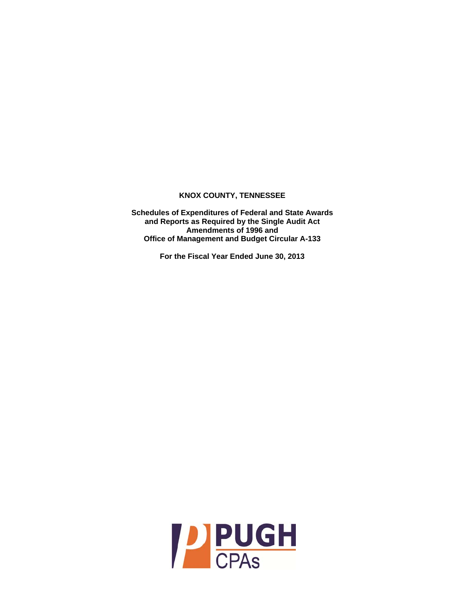**Schedules of Expenditures of Federal and State Awards and Reports as Required by the Single Audit Act Amendments of 1996 and Office of Management and Budget Circular A-133** 

**For the Fiscal Year Ended June 30, 2013** 

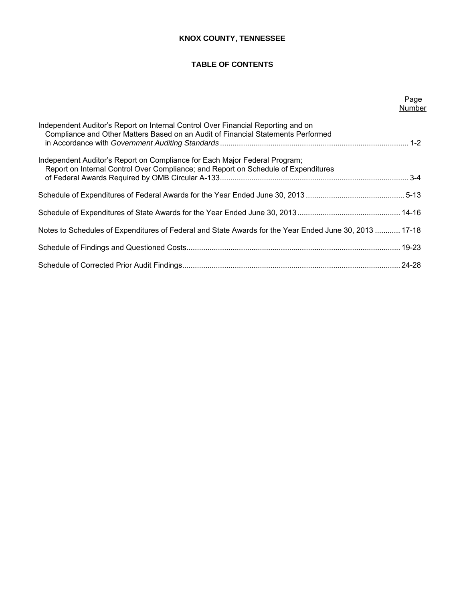# **TABLE OF CONTENTS**

#### Page Number

| Independent Auditor's Report on Internal Control Over Financial Reporting and on<br>Compliance and Other Matters Based on an Audit of Financial Statements Performed |  |
|----------------------------------------------------------------------------------------------------------------------------------------------------------------------|--|
| Independent Auditor's Report on Compliance for Each Major Federal Program;<br>Report on Internal Control Over Compliance; and Report on Schedule of Expenditures     |  |
|                                                                                                                                                                      |  |
|                                                                                                                                                                      |  |
| Notes to Schedules of Expenditures of Federal and State Awards for the Year Ended June 30, 2013  17-18                                                               |  |
|                                                                                                                                                                      |  |
|                                                                                                                                                                      |  |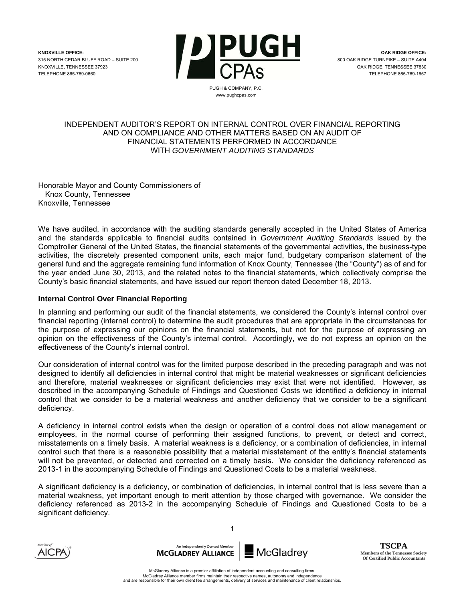

PUGH & COMPANY, P.C. www.pughcpas.com

#### INDEPENDENT AUDITOR'S REPORT ON INTERNAL CONTROL OVER FINANCIAL REPORTING AND ON COMPLIANCE AND OTHER MATTERS BASED ON AN AUDIT OF FINANCIAL STATEMENTS PERFORMED IN ACCORDANCE WITH *GOVERNMENT AUDITING STANDARDS*

Honorable Mayor and County Commissioners of Knox County, Tennessee Knoxville, Tennessee

We have audited, in accordance with the auditing standards generally accepted in the United States of America and the standards applicable to financial audits contained in *Government Auditing Standards* issued by the Comptroller General of the United States, the financial statements of the governmental activities, the business-type activities, the discretely presented component units, each major fund, budgetary comparison statement of the general fund and the aggregate remaining fund information of Knox County, Tennessee (the "County") as of and for the year ended June 30, 2013, and the related notes to the financial statements, which collectively comprise the County's basic financial statements, and have issued our report thereon dated December 18, 2013.

# **Internal Control Over Financial Reporting**

In planning and performing our audit of the financial statements, we considered the County's internal control over financial reporting (internal control) to determine the audit procedures that are appropriate in the circumstances for the purpose of expressing our opinions on the financial statements, but not for the purpose of expressing an opinion on the effectiveness of the County's internal control. Accordingly, we do not express an opinion on the effectiveness of the County's internal control.

Our consideration of internal control was for the limited purpose described in the preceding paragraph and was not designed to identify all deficiencies in internal control that might be material weaknesses or significant deficiencies and therefore, material weaknesses or significant deficiencies may exist that were not identified. However, as described in the accompanying Schedule of Findings and Questioned Costs we identified a deficiency in internal control that we consider to be a material weakness and another deficiency that we consider to be a significant deficiency.

A deficiency in internal control exists when the design or operation of a control does not allow management or employees, in the normal course of performing their assigned functions, to prevent, or detect and correct, misstatements on a timely basis. A material weakness is a deficiency, or a combination of deficiencies, in internal control such that there is a reasonable possibility that a material misstatement of the entity's financial statements will not be prevented, or detected and corrected on a timely basis. We consider the deficiency referenced as 2013-1 in the accompanying Schedule of Findings and Questioned Costs to be a material weakness.

A significant deficiency is a deficiency, or combination of deficiencies, in internal control that is less severe than a material weakness, yet important enough to merit attention by those charged with governance. We consider the deficiency referenced as 2013-2 in the accompanying Schedule of Findings and Questioned Costs to be a significant deficiency.

1







**TSCPA Members of the Tennessee Society Of Certified Public Accountants**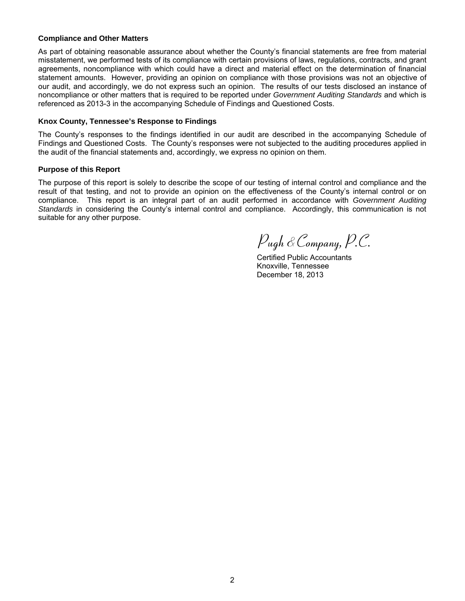#### **Compliance and Other Matters**

As part of obtaining reasonable assurance about whether the County's financial statements are free from material misstatement, we performed tests of its compliance with certain provisions of laws, regulations, contracts, and grant agreements, noncompliance with which could have a direct and material effect on the determination of financial statement amounts. However, providing an opinion on compliance with those provisions was not an objective of our audit, and accordingly, we do not express such an opinion. The results of our tests disclosed an instance of noncompliance or other matters that is required to be reported under *Government Auditing Standards* and which is referenced as 2013-3 in the accompanying Schedule of Findings and Questioned Costs.

#### **Knox County, Tennessee's Response to Findings**

The County's responses to the findings identified in our audit are described in the accompanying Schedule of Findings and Questioned Costs. The County's responses were not subjected to the auditing procedures applied in the audit of the financial statements and, accordingly, we express no opinion on them.

#### **Purpose of this Report**

The purpose of this report is solely to describe the scope of our testing of internal control and compliance and the result of that testing, and not to provide an opinion on the effectiveness of the County's internal control or on compliance. This report is an integral part of an audit performed in accordance with *Government Auditing Standards* in considering the County's internal control and compliance. Accordingly, this communication is not suitable for any other purpose.

 *Pugh* &*Company, P.C.*

 Certified Public Accountants Knoxville, Tennessee December 18, 2013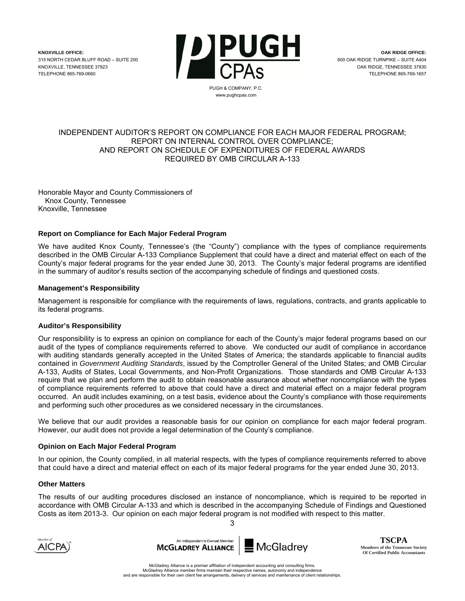

www.pughcpas.com

# INDEPENDENT AUDITOR'S REPORT ON COMPLIANCE FOR EACH MAJOR FEDERAL PROGRAM; REPORT ON INTERNAL CONTROL OVER COMPLIANCE; AND REPORT ON SCHEDULE OF EXPENDITURES OF FEDERAL AWARDS REQUIRED BY OMB CIRCULAR A-133

Honorable Mayor and County Commissioners of Knox County, Tennessee Knoxville, Tennessee

## **Report on Compliance for Each Major Federal Program**

We have audited Knox County, Tennessee's (the "County") compliance with the types of compliance requirements described in the OMB Circular A-133 Compliance Supplement that could have a direct and material effect on each of the County's major federal programs for the year ended June 30, 2013. The County's major federal programs are identified in the summary of auditor's results section of the accompanying schedule of findings and questioned costs.

## **Management's Responsibility**

Management is responsible for compliance with the requirements of laws, regulations, contracts, and grants applicable to its federal programs.

## **Auditor's Responsibility**

Our responsibility is to express an opinion on compliance for each of the County's major federal programs based on our audit of the types of compliance requirements referred to above. We conducted our audit of compliance in accordance with auditing standards generally accepted in the United States of America; the standards applicable to financial audits contained in *Government Auditing Standards*, issued by the Comptroller General of the United States; and OMB Circular A-133, Audits of States, Local Governments, and Non-Profit Organizations. Those standards and OMB Circular A-133 require that we plan and perform the audit to obtain reasonable assurance about whether noncompliance with the types of compliance requirements referred to above that could have a direct and material effect on a major federal program occurred. An audit includes examining, on a test basis, evidence about the County's compliance with those requirements and performing such other procedures as we considered necessary in the circumstances.

We believe that our audit provides a reasonable basis for our opinion on compliance for each major federal program. However, our audit does not provide a legal determination of the County's compliance.

## **Opinion on Each Major Federal Program**

In our opinion, the County complied, in all material respects, with the types of compliance requirements referred to above that could have a direct and material effect on each of its major federal programs for the year ended June 30, 2013.

## **Other Matters**

The results of our auditing procedures disclosed an instance of noncompliance, which is required to be reported in accordance with OMB Circular A-133 and which is described in the accompanying Schedule of Findings and Questioned Costs as item 2013-3. Our opinion on each major federal program is not modified with respect to this matter.

3







**TSCPA Members of the Tennessee Society Of Certified Public Accountants**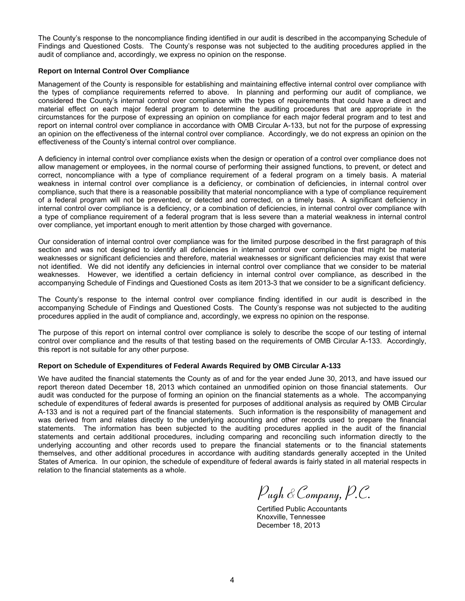The County's response to the noncompliance finding identified in our audit is described in the accompanying Schedule of Findings and Questioned Costs. The County's response was not subjected to the auditing procedures applied in the audit of compliance and, accordingly, we express no opinion on the response.

#### **Report on Internal Control Over Compliance**

Management of the County is responsible for establishing and maintaining effective internal control over compliance with the types of compliance requirements referred to above. In planning and performing our audit of compliance, we considered the County's internal control over compliance with the types of requirements that could have a direct and material effect on each major federal program to determine the auditing procedures that are appropriate in the circumstances for the purpose of expressing an opinion on compliance for each major federal program and to test and report on internal control over compliance in accordance with OMB Circular A-133, but not for the purpose of expressing an opinion on the effectiveness of the internal control over compliance. Accordingly, we do not express an opinion on the effectiveness of the County's internal control over compliance.

A deficiency in internal control over compliance exists when the design or operation of a control over compliance does not allow management or employees, in the normal course of performing their assigned functions, to prevent, or detect and correct, noncompliance with a type of compliance requirement of a federal program on a timely basis. A material weakness in internal control over compliance is a deficiency, or combination of deficiencies, in internal control over compliance, such that there is a reasonable possibility that material noncompliance with a type of compliance requirement of a federal program will not be prevented, or detected and corrected, on a timely basis. A significant deficiency in internal control over compliance is a deficiency, or a combination of deficiencies, in internal control over compliance with a type of compliance requirement of a federal program that is less severe than a material weakness in internal control over compliance, yet important enough to merit attention by those charged with governance.

Our consideration of internal control over compliance was for the limited purpose described in the first paragraph of this section and was not designed to identify all deficiencies in internal control over compliance that might be material weaknesses or significant deficiencies and therefore, material weaknesses or significant deficiencies may exist that were not identified. We did not identify any deficiencies in internal control over compliance that we consider to be material weaknesses. However, we identified a certain deficiency in internal control over compliance, as described in the accompanying Schedule of Findings and Questioned Costs as item 2013-3 that we consider to be a significant deficiency.

The County's response to the internal control over compliance finding identified in our audit is described in the accompanying Schedule of Findings and Questioned Costs. The County's response was not subjected to the auditing procedures applied in the audit of compliance and, accordingly, we express no opinion on the response.

The purpose of this report on internal control over compliance is solely to describe the scope of our testing of internal control over compliance and the results of that testing based on the requirements of OMB Circular A-133. Accordingly, this report is not suitable for any other purpose.

## **Report on Schedule of Expenditures of Federal Awards Required by OMB Circular A-133**

We have audited the financial statements the County as of and for the year ended June 30, 2013, and have issued our report thereon dated December 18, 2013 which contained an unmodified opinion on those financial statements. Our audit was conducted for the purpose of forming an opinion on the financial statements as a whole. The accompanying schedule of expenditures of federal awards is presented for purposes of additional analysis as required by OMB Circular A-133 and is not a required part of the financial statements. Such information is the responsibility of management and was derived from and relates directly to the underlying accounting and other records used to prepare the financial statements. The information has been subjected to the auditing procedures applied in the audit of the financial statements and certain additional procedures, including comparing and reconciling such information directly to the underlying accounting and other records used to prepare the financial statements or to the financial statements themselves, and other additional procedures in accordance with auditing standards generally accepted in the United States of America. In our opinion, the schedule of expenditure of federal awards is fairly stated in all material respects in relation to the financial statements as a whole.

*Pugh* &*Company, P.C.*

 Certified Public Accountants Knoxville, Tennessee December 18, 2013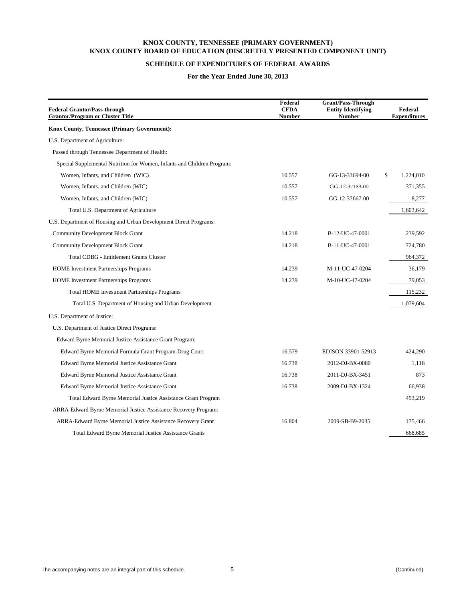# **SCHEDULE OF EXPENDITURES OF FEDERAL AWARDS**

| <b>Federal Grantor/Pass-through</b><br><b>Grantor/Program or Cluster Title</b> | Federal<br><b>CFDA</b><br><b>Number</b> | <b>Grant/Pass-Through</b><br><b>Entity Identifying</b><br><b>Number</b> | Federal<br><b>Expenditures</b> |
|--------------------------------------------------------------------------------|-----------------------------------------|-------------------------------------------------------------------------|--------------------------------|
| <b>Knox County, Tennessee (Primary Government):</b>                            |                                         |                                                                         |                                |
| U.S. Department of Agriculture:                                                |                                         |                                                                         |                                |
| Passed through Tennessee Department of Health:                                 |                                         |                                                                         |                                |
| Special Supplemental Nutrition for Women, Infants and Children Program:        |                                         |                                                                         |                                |
| Women, Infants, and Children (WIC)                                             | 10.557                                  | GG-13-33694-00                                                          | \$<br>1,224,010                |
| Women, Infants, and Children (WIC)                                             | 10.557                                  | GG-12-37189-00                                                          | 371,355                        |
| Women, Infants, and Children (WIC)                                             | 10.557                                  | GG-12-37667-00                                                          | 8,277                          |
| Total U.S. Department of Agriculture                                           |                                         |                                                                         | 1,603,642                      |
| U.S. Department of Housing and Urban Development Direct Programs:              |                                         |                                                                         |                                |
| <b>Community Development Block Grant</b>                                       | 14.218                                  | B-12-UC-47-0001                                                         | 239,592                        |
| <b>Community Development Block Grant</b>                                       | 14.218                                  | B-11-UC-47-0001                                                         | 724,780                        |
| <b>Total CDBG - Entitlement Grants Cluster</b>                                 |                                         |                                                                         | 964,372                        |
| <b>HOME</b> Investment Partnerships Programs                                   | 14.239                                  | M-11-UC-47-0204                                                         | 36,179                         |
| <b>HOME</b> Investment Partnerships Programs                                   | 14.239                                  | M-10-UC-47-0204                                                         | 79,053                         |
| <b>Total HOME Investment Partnerships Programs</b>                             |                                         |                                                                         | 115,232                        |
| Total U.S. Department of Housing and Urban Development                         |                                         |                                                                         | 1,079,604                      |
| U.S. Department of Justice:                                                    |                                         |                                                                         |                                |
| U.S. Department of Justice Direct Programs:                                    |                                         |                                                                         |                                |
| Edward Byrne Memorial Justice Assistance Grant Program:                        |                                         |                                                                         |                                |
| Edward Byrne Memorial Formula Grant Program-Drug Court                         | 16.579                                  | EDISON 33901-52913                                                      | 424,290                        |
| <b>Edward Byrne Memorial Justice Assistance Grant</b>                          | 16.738                                  | 2012-DJ-BX-0080                                                         | 1.118                          |
| Edward Byrne Memorial Justice Assistance Grant                                 | 16.738                                  | 2011-DJ-BX-3451                                                         | 873                            |
| Edward Byrne Memorial Justice Assistance Grant                                 | 16.738                                  | 2009-DJ-BX-1324                                                         | 66,938                         |
| Total Edward Byrne Memorial Justice Assistance Grant Program                   |                                         |                                                                         | 493,219                        |
| ARRA-Edward Byrne Memorial Justice Assistance Recovery Program:                |                                         |                                                                         |                                |
| ARRA-Edward Byrne Memorial Justice Assistance Recovery Grant                   | 16.804                                  | 2009-SB-B9-2035                                                         | 175,466                        |
| Total Edward Byrne Memorial Justice Assistance Grants                          |                                         |                                                                         | 668,685                        |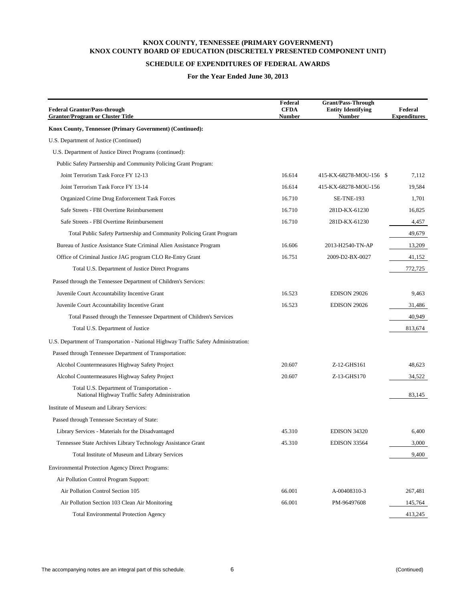# **SCHEDULE OF EXPENDITURES OF FEDERAL AWARDS**

| <b>Federal Grantor/Pass-through</b><br><b>Grantor/Program or Cluster Title</b>              | Federal<br><b>CFDA</b><br><b>Number</b> | <b>Grant/Pass-Through</b><br><b>Entity Identifying</b><br><b>Number</b> | Federal<br><b>Expenditures</b> |
|---------------------------------------------------------------------------------------------|-----------------------------------------|-------------------------------------------------------------------------|--------------------------------|
| <b>Knox County, Tennessee (Primary Government) (Continued):</b>                             |                                         |                                                                         |                                |
| U.S. Department of Justice (Continued)                                                      |                                         |                                                                         |                                |
| U.S. Department of Justice Direct Programs (continued):                                     |                                         |                                                                         |                                |
| Public Safety Partnership and Community Policing Grant Program:                             |                                         |                                                                         |                                |
| Joint Terrorism Task Force FY 12-13                                                         | 16.614                                  | 415-KX-68278-MOU-156 \$                                                 | 7,112                          |
| Joint Terrorism Task Force FY 13-14                                                         | 16.614                                  | 415-KX-68278-MOU-156                                                    | 19,584                         |
| Organized Crime Drug Enforcement Task Forces                                                | 16.710                                  | <b>SE-TNE-193</b>                                                       | 1,701                          |
| Safe Streets - FBI Overtime Reimbursement                                                   | 16.710                                  | 281D-KX-61230                                                           | 16,825                         |
| Safe Streets - FBI Overtime Reimbursement                                                   | 16.710                                  | 281D-KX-61230                                                           | 4,457                          |
| Total Public Safety Partnership and Community Policing Grant Program                        |                                         |                                                                         | 49,679                         |
| Bureau of Justice Assistance State Criminal Alien Assistance Program                        | 16.606                                  | 2013-H2540-TN-AP                                                        | 13,209                         |
| Office of Criminal Justice JAG program CLO Re-Entry Grant                                   | 16.751                                  | 2009-D2-BX-0027                                                         | 41,152                         |
| Total U.S. Department of Justice Direct Programs                                            |                                         |                                                                         | 772,725                        |
| Passed through the Tennessee Department of Children's Services:                             |                                         |                                                                         |                                |
| Juvenile Court Accountability Incentive Grant                                               | 16.523                                  | EDISON 29026                                                            | 9,463                          |
| Juvenile Court Accountability Incentive Grant                                               | 16.523                                  | <b>EDISON 29026</b>                                                     | 31,486                         |
| Total Passed through the Tennessee Department of Children's Services                        |                                         |                                                                         | 40,949                         |
| Total U.S. Department of Justice                                                            |                                         |                                                                         | 813,674                        |
| U.S. Department of Transportation - National Highway Traffic Safety Administration:         |                                         |                                                                         |                                |
| Passed through Tennessee Department of Transportation:                                      |                                         |                                                                         |                                |
| Alcohol Countermeasures Highway Safety Project                                              | 20.607                                  | Z-12-GHS161                                                             | 48,623                         |
| Alcohol Countermeasures Highway Safety Project                                              | 20.607                                  | Z-13-GHS170                                                             | 34,522                         |
| Total U.S. Department of Transportation -<br>National Highway Traffic Safety Administration |                                         |                                                                         | 83,145                         |
| Institute of Museum and Library Services:                                                   |                                         |                                                                         |                                |
| Passed through Tennessee Secretary of State:                                                |                                         |                                                                         |                                |
| Library Services - Materials for the Disadvantaged                                          | 45.310                                  | <b>EDISON 34320</b>                                                     | 6,400                          |
| Tennessee State Archives Library Technology Assistance Grant                                | 45.310                                  | <b>EDISON 33564</b>                                                     | 3,000                          |
| Total Institute of Museum and Library Services                                              |                                         |                                                                         | 9,400                          |
| Environmental Protection Agency Direct Programs:                                            |                                         |                                                                         |                                |
| Air Pollution Control Program Support:                                                      |                                         |                                                                         |                                |
| Air Pollution Control Section 105                                                           | 66.001                                  | A-00408310-3                                                            | 267,481                        |
| Air Pollution Section 103 Clean Air Monitoring                                              | 66.001                                  | PM-96497608                                                             | 145,764                        |
| <b>Total Environmental Protection Agency</b>                                                |                                         |                                                                         | 413,245                        |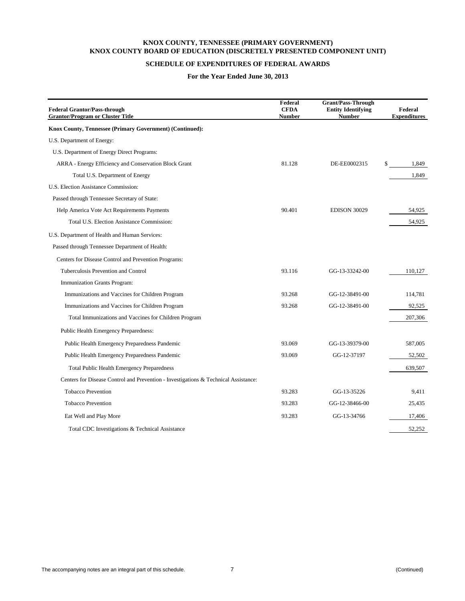# **SCHEDULE OF EXPENDITURES OF FEDERAL AWARDS**

| <b>Federal Grantor/Pass-through</b><br><b>Grantor/Program or Cluster Title</b>      | Federal<br><b>CFDA</b><br><b>Number</b> | <b>Grant/Pass-Through</b><br><b>Entity Identifying</b><br><b>Number</b> | Federal<br><b>Expenditures</b> |
|-------------------------------------------------------------------------------------|-----------------------------------------|-------------------------------------------------------------------------|--------------------------------|
| Knox County, Tennessee (Primary Government) (Continued):                            |                                         |                                                                         |                                |
| U.S. Department of Energy:                                                          |                                         |                                                                         |                                |
| U.S. Department of Energy Direct Programs:                                          |                                         |                                                                         |                                |
| ARRA - Energy Efficiency and Conservation Block Grant                               | 81.128                                  | DE-EE0002315                                                            | \$<br>1,849                    |
| Total U.S. Department of Energy                                                     |                                         |                                                                         | 1.849                          |
| U.S. Election Assistance Commission:                                                |                                         |                                                                         |                                |
| Passed through Tennessee Secretary of State:                                        |                                         |                                                                         |                                |
| Help America Vote Act Requirements Payments                                         | 90.401                                  | <b>EDISON 30029</b>                                                     | 54.925                         |
| Total U.S. Election Assistance Commission:                                          |                                         |                                                                         | 54,925                         |
| U.S. Department of Health and Human Services:                                       |                                         |                                                                         |                                |
| Passed through Tennessee Department of Health:                                      |                                         |                                                                         |                                |
| Centers for Disease Control and Prevention Programs:                                |                                         |                                                                         |                                |
| Tuberculosis Prevention and Control                                                 | 93.116                                  | GG-13-33242-00                                                          | 110,127                        |
| <b>Immunization Grants Program:</b>                                                 |                                         |                                                                         |                                |
| Immunizations and Vaccines for Children Program                                     | 93.268                                  | GG-12-38491-00                                                          | 114,781                        |
| Immunizations and Vaccines for Children Program                                     | 93.268                                  | GG-12-38491-00                                                          | 92,525                         |
| Total Immunizations and Vaccines for Children Program                               |                                         |                                                                         | 207,306                        |
| Public Health Emergency Preparedness:                                               |                                         |                                                                         |                                |
| Public Health Emergency Preparedness Pandemic                                       | 93.069                                  | GG-13-39379-00                                                          | 587,005                        |
| Public Health Emergency Preparedness Pandemic                                       | 93.069                                  | GG-12-37197                                                             | 52,502                         |
| <b>Total Public Health Emergency Preparedness</b>                                   |                                         |                                                                         | 639,507                        |
| Centers for Disease Control and Prevention - Investigations & Technical Assistance: |                                         |                                                                         |                                |
| <b>Tobacco Prevention</b>                                                           | 93.283                                  | GG-13-35226                                                             | 9,411                          |
| <b>Tobacco Prevention</b>                                                           | 93.283                                  | GG-12-38466-00                                                          | 25,435                         |
| Eat Well and Play More                                                              | 93.283                                  | GG-13-34766                                                             | 17,406                         |
| Total CDC Investigations & Technical Assistance                                     |                                         |                                                                         | 52,252                         |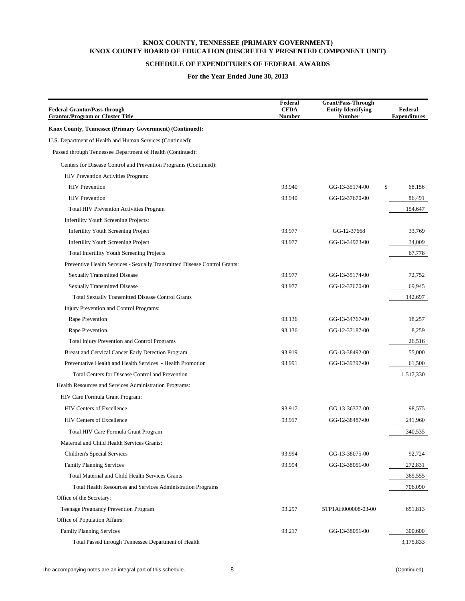# **SCHEDULE OF EXPENDITURES OF FEDERAL AWARDS**

| <b>Federal Grantor/Pass-through</b><br><b>Grantor/Program or Cluster Title</b> | Federal<br><b>CFDA</b><br><b>Number</b> | <b>Grant/Pass-Through</b><br><b>Entity Identifying</b><br><b>Number</b> | Federal<br><b>Expenditures</b> |
|--------------------------------------------------------------------------------|-----------------------------------------|-------------------------------------------------------------------------|--------------------------------|
| Knox County, Tennessee (Primary Government) (Continued):                       |                                         |                                                                         |                                |
| U.S. Department of Health and Human Services (Continued):                      |                                         |                                                                         |                                |
| Passed through Tennessee Department of Health (Continued):                     |                                         |                                                                         |                                |
| Centers for Disease Control and Prevention Programs (Continued):               |                                         |                                                                         |                                |
| HIV Prevention Activities Program:                                             |                                         |                                                                         |                                |
| <b>HIV</b> Prevention                                                          | 93.940                                  | GG-13-35174-00                                                          | \$<br>68.156                   |
| <b>HIV</b> Prevention                                                          | 93.940                                  | GG-12-37670-00                                                          | 86,491                         |
| <b>Total HIV Prevention Activities Program</b>                                 |                                         |                                                                         | 154,647                        |
| Infertility Youth Screening Projects:                                          |                                         |                                                                         |                                |
| <b>Infertility Youth Screening Project</b>                                     | 93.977                                  | GG-12-37668                                                             | 33,769                         |
| <b>Infertility Youth Screening Project</b>                                     | 93.977                                  | GG-13-34973-00                                                          | 34,009                         |
| <b>Total Infertility Youth Screening Projects</b>                              |                                         |                                                                         | 67,778                         |
| Preventive Health Services - Sexually Transmitted Disease Control Grants:      |                                         |                                                                         |                                |
| <b>Sexually Transmitted Disease</b>                                            | 93.977                                  | GG-13-35174-00                                                          | 72,752                         |
| <b>Sexually Transmitted Disease</b>                                            | 93.977                                  | GG-12-37670-00                                                          | 69,945                         |
| <b>Total Sexually Transmitted Disease Control Grants</b>                       |                                         |                                                                         | 142,697                        |
| Injury Prevention and Control Programs:                                        |                                         |                                                                         |                                |
| Rape Prevention                                                                | 93.136                                  | GG-13-34767-00                                                          | 18,257                         |
| Rape Prevention                                                                | 93.136                                  | GG-12-37187-00                                                          | 8,259                          |
| Total Injury Prevention and Control Programs                                   |                                         |                                                                         | 26,516                         |
| Breast and Cervical Cancer Early Detection Program                             | 93.919                                  | GG-13-38492-00                                                          | 55,000                         |
| Preventative Health and Health Services - Health Promotion                     | 93.991                                  | GG-13-39397-00                                                          | 61,500                         |
| <b>Total Centers for Disease Control and Prevention</b>                        |                                         |                                                                         | 1,517,330                      |
| Health Resources and Services Administration Programs:                         |                                         |                                                                         |                                |
| HIV Care Formula Grant Program:                                                |                                         |                                                                         |                                |
| <b>HIV Centers of Excellence</b>                                               | 93.917                                  | GG-13-36377-00                                                          | 98,575                         |
| <b>HIV Centers of Excellence</b>                                               | 93.917                                  | GG-12-38487-00                                                          | 241,960                        |
| Total HIV Care Formula Grant Program                                           |                                         |                                                                         | 340,535                        |
| Maternal and Child Health Services Grants:                                     |                                         |                                                                         |                                |
| Children's Special Services                                                    | 93.994                                  | GG-13-38075-00                                                          | 92,724                         |
| <b>Family Planning Services</b>                                                | 93.994                                  | GG-13-38051-00                                                          | 272,831                        |
| Total Maternal and Child Health Services Grants                                |                                         |                                                                         | 365,555                        |
| Total Health Resources and Services Administration Programs                    |                                         |                                                                         | 706,090                        |
| Office of the Secretary:                                                       |                                         |                                                                         |                                |
| Teenage Pregnancy Prevention Program                                           | 93.297                                  | 5TP1AH000008-03-00                                                      | 651,813                        |
| Office of Population Affairs:                                                  |                                         |                                                                         |                                |
| <b>Family Planning Services</b>                                                | 93.217                                  | GG-13-38051-00                                                          | 300,600                        |
| Total Passed through Tennessee Department of Health                            |                                         |                                                                         | 3,175,833                      |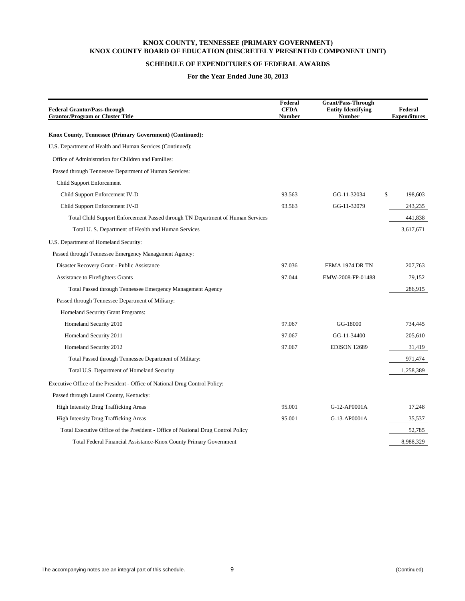# **SCHEDULE OF EXPENDITURES OF FEDERAL AWARDS**

| <b>Federal Grantor/Pass-through</b><br><b>Grantor/Program or Cluster Title</b>   | Federal<br><b>CFDA</b><br><b>Number</b> | <b>Grant/Pass-Through</b><br><b>Entity Identifying</b><br><b>Number</b> | Federal<br><b>Expenditures</b> |
|----------------------------------------------------------------------------------|-----------------------------------------|-------------------------------------------------------------------------|--------------------------------|
|                                                                                  |                                         |                                                                         |                                |
| Knox County, Tennessee (Primary Government) (Continued):                         |                                         |                                                                         |                                |
| U.S. Department of Health and Human Services (Continued):                        |                                         |                                                                         |                                |
| Office of Administration for Children and Families:                              |                                         |                                                                         |                                |
| Passed through Tennessee Department of Human Services:                           |                                         |                                                                         |                                |
| Child Support Enforcement                                                        |                                         |                                                                         |                                |
| Child Support Enforcement IV-D                                                   | 93.563                                  | GG-11-32034                                                             | \$<br>198,603                  |
| Child Support Enforcement IV-D                                                   | 93.563                                  | GG-11-32079                                                             | 243,235                        |
| Total Child Support Enforcement Passed through TN Department of Human Services   |                                         |                                                                         | 441,838                        |
| Total U.S. Department of Health and Human Services                               |                                         |                                                                         | 3,617,671                      |
| U.S. Department of Homeland Security:                                            |                                         |                                                                         |                                |
| Passed through Tennessee Emergency Management Agency:                            |                                         |                                                                         |                                |
| Disaster Recovery Grant - Public Assistance                                      | 97.036                                  | FEMA 1974 DR TN                                                         | 207,763                        |
| Assistance to Firefighters Grants                                                | 97.044                                  | EMW-2008-FP-01488                                                       | 79,152                         |
| Total Passed through Tennessee Emergency Management Agency                       |                                         |                                                                         | 286,915                        |
| Passed through Tennessee Department of Military:                                 |                                         |                                                                         |                                |
| Homeland Security Grant Programs:                                                |                                         |                                                                         |                                |
| Homeland Security 2010                                                           | 97.067                                  | GG-18000                                                                | 734,445                        |
| Homeland Security 2011                                                           | 97.067                                  | GG-11-34400                                                             | 205,610                        |
| Homeland Security 2012                                                           | 97.067                                  | <b>EDISON 12689</b>                                                     | 31,419                         |
| Total Passed through Tennessee Department of Military:                           |                                         |                                                                         | 971,474                        |
| Total U.S. Department of Homeland Security                                       |                                         |                                                                         | 1,258,389                      |
| Executive Office of the President - Office of National Drug Control Policy:      |                                         |                                                                         |                                |
| Passed through Laurel County, Kentucky:                                          |                                         |                                                                         |                                |
| <b>High Intensity Drug Trafficking Areas</b>                                     | 95.001                                  | G-12-AP0001A                                                            | 17,248                         |
| High Intensity Drug Trafficking Areas                                            | 95.001                                  | G-13-AP0001A                                                            | 35,537                         |
| Total Executive Office of the President - Office of National Drug Control Policy |                                         |                                                                         | 52,785                         |
| Total Federal Financial Assistance-Knox County Primary Government                |                                         |                                                                         | 8,988,329                      |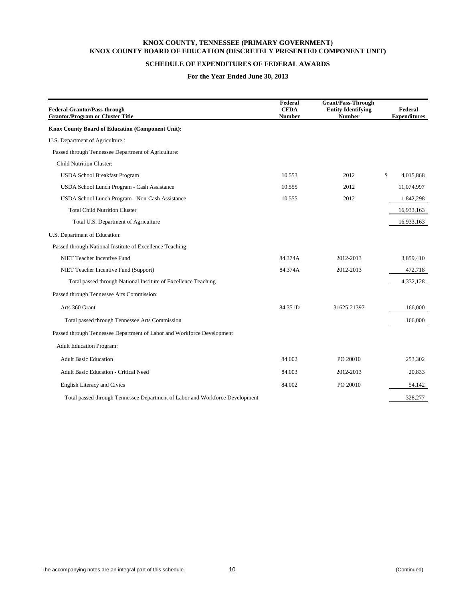# **SCHEDULE OF EXPENDITURES OF FEDERAL AWARDS**

| <b>Federal Grantor/Pass-through</b><br><b>Grantor/Program or Cluster Title</b> | Federal<br><b>CFDA</b><br><b>Number</b> | <b>Grant/Pass-Through</b><br><b>Entity Identifying</b><br><b>Number</b> | Federal<br><b>Expenditures</b> |
|--------------------------------------------------------------------------------|-----------------------------------------|-------------------------------------------------------------------------|--------------------------------|
| Knox County Board of Education (Component Unit):                               |                                         |                                                                         |                                |
| U.S. Department of Agriculture :                                               |                                         |                                                                         |                                |
| Passed through Tennessee Department of Agriculture:                            |                                         |                                                                         |                                |
| <b>Child Nutrition Cluster:</b>                                                |                                         |                                                                         |                                |
| <b>USDA School Breakfast Program</b>                                           | 10.553                                  | 2012                                                                    | \$<br>4,015,868                |
| USDA School Lunch Program - Cash Assistance                                    | 10.555                                  | 2012                                                                    | 11,074,997                     |
| USDA School Lunch Program - Non-Cash Assistance                                | 10.555                                  | 2012                                                                    | 1,842,298                      |
| <b>Total Child Nutrition Cluster</b>                                           |                                         |                                                                         | 16,933,163                     |
| Total U.S. Department of Agriculture                                           |                                         |                                                                         | 16,933,163                     |
| U.S. Department of Education:                                                  |                                         |                                                                         |                                |
| Passed through National Institute of Excellence Teaching:                      |                                         |                                                                         |                                |
| NIET Teacher Incentive Fund                                                    | 84.374A                                 | 2012-2013                                                               | 3,859,410                      |
| NIET Teacher Incentive Fund (Support)                                          | 84.374A                                 | 2012-2013                                                               | 472,718                        |
| Total passed through National Institute of Excellence Teaching                 |                                         |                                                                         | 4,332,128                      |
| Passed through Tennessee Arts Commission:                                      |                                         |                                                                         |                                |
| Arts 360 Grant                                                                 | 84.351D                                 | 31625-21397                                                             | 166,000                        |
| Total passed through Tennessee Arts Commission                                 |                                         |                                                                         | 166,000                        |
| Passed through Tennessee Department of Labor and Workforce Development         |                                         |                                                                         |                                |
| <b>Adult Education Program:</b>                                                |                                         |                                                                         |                                |
| <b>Adult Basic Education</b>                                                   | 84.002                                  | PO 20010                                                                | 253,302                        |
| <b>Adult Basic Education - Critical Need</b>                                   | 84.003                                  | 2012-2013                                                               | 20,833                         |
| <b>English Literacy and Civics</b>                                             | 84.002                                  | PO 20010                                                                | 54,142                         |
| Total passed through Tennessee Department of Labor and Workforce Development   |                                         |                                                                         | 328,277                        |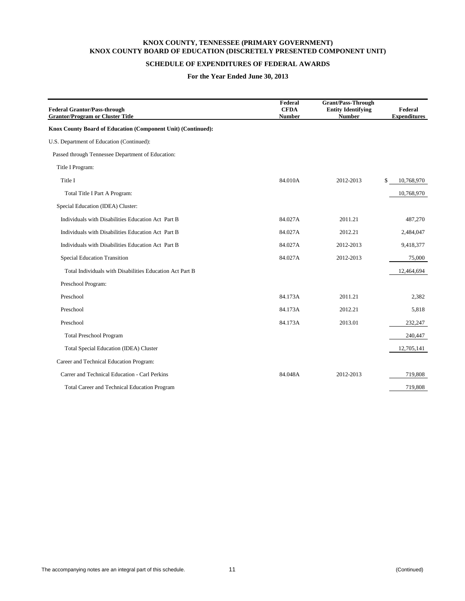# **SCHEDULE OF EXPENDITURES OF FEDERAL AWARDS**

| <b>Federal Grantor/Pass-through</b><br><b>Grantor/Program or Cluster Title</b> | Federal<br><b>CFDA</b><br><b>Number</b> | <b>Grant/Pass-Through</b><br><b>Entity Identifying</b><br><b>Number</b> | Federal<br><b>Expenditures</b> |
|--------------------------------------------------------------------------------|-----------------------------------------|-------------------------------------------------------------------------|--------------------------------|
| Knox County Board of Education (Component Unit) (Continued):                   |                                         |                                                                         |                                |
| U.S. Department of Education (Continued):                                      |                                         |                                                                         |                                |
| Passed through Tennessee Department of Education:                              |                                         |                                                                         |                                |
| Title I Program:                                                               |                                         |                                                                         |                                |
| Title I                                                                        | 84.010A                                 | 2012-2013                                                               | \$<br>10,768,970               |
| Total Title I Part A Program:                                                  |                                         |                                                                         | 10,768,970                     |
| Special Education (IDEA) Cluster:                                              |                                         |                                                                         |                                |
| Individuals with Disabilities Education Act Part B                             | 84.027A                                 | 2011.21                                                                 | 487,270                        |
| Individuals with Disabilities Education Act Part B                             | 84.027A                                 | 2012.21                                                                 | 2,484,047                      |
| Individuals with Disabilities Education Act Part B                             | 84.027A                                 | 2012-2013                                                               | 9,418,377                      |
| Special Education Transition                                                   | 84.027A                                 | 2012-2013                                                               | 75,000                         |
| Total Individuals with Disabilities Education Act Part B                       |                                         |                                                                         | 12,464,694                     |
| Preschool Program:                                                             |                                         |                                                                         |                                |
| Preschool                                                                      | 84.173A                                 | 2011.21                                                                 | 2,382                          |
| Preschool                                                                      | 84.173A                                 | 2012.21                                                                 | 5,818                          |
| Preschool                                                                      | 84.173A                                 | 2013.01                                                                 | 232,247                        |
| <b>Total Preschool Program</b>                                                 |                                         |                                                                         | 240,447                        |
| Total Special Education (IDEA) Cluster                                         |                                         |                                                                         | 12,705,141                     |
| Career and Technical Education Program:                                        |                                         |                                                                         |                                |
| Carrer and Technical Education - Carl Perkins                                  | 84.048A                                 | 2012-2013                                                               | 719,808                        |
| Total Career and Technical Education Program                                   |                                         |                                                                         | 719,808                        |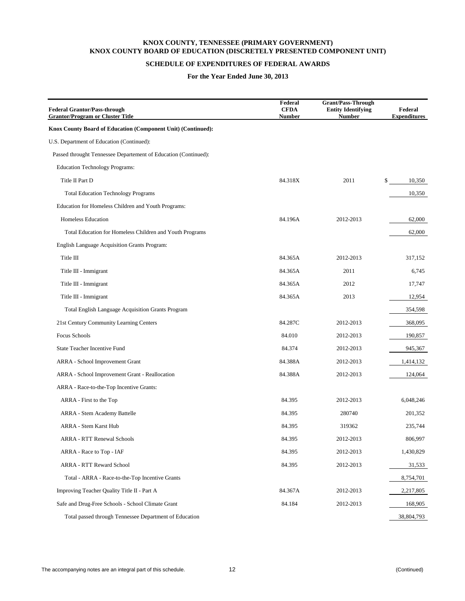# **SCHEDULE OF EXPENDITURES OF FEDERAL AWARDS**

| <b>Federal Grantor/Pass-through</b><br><b>Grantor/Program or Cluster Title</b> | Federal<br><b>CFDA</b><br><b>Number</b> | <b>Grant/Pass-Through</b><br><b>Entity Identifying</b><br><b>Number</b> | Federal<br><b>Expenditures</b> |
|--------------------------------------------------------------------------------|-----------------------------------------|-------------------------------------------------------------------------|--------------------------------|
| Knox County Board of Education (Component Unit) (Continued):                   |                                         |                                                                         |                                |
| U.S. Department of Education (Continued):                                      |                                         |                                                                         |                                |
| Passed throught Tennessee Departement of Education (Continued):                |                                         |                                                                         |                                |
| <b>Education Technology Programs:</b>                                          |                                         |                                                                         |                                |
| Title II Part D                                                                | 84.318X                                 | 2011                                                                    | \$<br>10,350                   |
| <b>Total Education Technology Programs</b>                                     |                                         |                                                                         | 10,350                         |
| Education for Homeless Children and Youth Programs:                            |                                         |                                                                         |                                |
| Homeless Education                                                             | 84.196A                                 | 2012-2013                                                               | 62,000                         |
| Total Education for Homeless Children and Youth Programs                       |                                         |                                                                         | 62,000                         |
| <b>English Language Acquisition Grants Program:</b>                            |                                         |                                                                         |                                |
| Title III                                                                      | 84.365A                                 | 2012-2013                                                               | 317,152                        |
| Title III - Immigrant                                                          | 84.365A                                 | 2011                                                                    | 6,745                          |
| Title III - Immigrant                                                          | 84.365A                                 | 2012                                                                    | 17,747                         |
| Title III - Immigrant                                                          | 84.365A                                 | 2013                                                                    | 12,954                         |
| Total English Language Acquisition Grants Program                              |                                         |                                                                         | 354,598                        |
| 21st Century Community Learning Centers                                        | 84.287C                                 | 2012-2013                                                               | 368,095                        |
| Focus Schools                                                                  | 84.010                                  | 2012-2013                                                               | 190,857                        |
| <b>State Teacher Incentive Fund</b>                                            | 84.374                                  | 2012-2013                                                               | 945,367                        |
| ARRA - School Improvement Grant                                                | 84.388A                                 | 2012-2013                                                               | 1,414,132                      |
| ARRA - School Improvement Grant - Reallocation                                 | 84.388A                                 | 2012-2013                                                               | 124,064                        |
| ARRA - Race-to-the-Top Incentive Grants:                                       |                                         |                                                                         |                                |
| ARRA - First to the Top                                                        | 84.395                                  | 2012-2013                                                               | 6,048,246                      |
| <b>ARRA</b> - Stem Academy Battelle                                            | 84.395                                  | 280740                                                                  | 201,352                        |
| ARRA - Stem Karst Hub                                                          | 84.395                                  | 319362                                                                  | 235,744                        |
| ARRA - RTT Renewal Schools                                                     | 84.395                                  | 2012-2013                                                               | 806,997                        |
| ARRA - Race to Top - IAF                                                       | 84.395                                  | 2012-2013                                                               | 1,430,829                      |
| <b>ARRA - RTT Reward School</b>                                                | 84.395                                  | 2012-2013                                                               | 31,533                         |
| Total - ARRA - Race-to-the-Top Incentive Grants                                |                                         |                                                                         | 8,754,701                      |
| Improving Teacher Quality Title II - Part A                                    | 84.367A                                 | 2012-2013                                                               | 2,217,805                      |
| Safe and Drug-Free Schools - School Climate Grant                              | 84.184                                  | 2012-2013                                                               | 168,905                        |
| Total passed through Tennessee Department of Education                         |                                         |                                                                         | 38,804,793                     |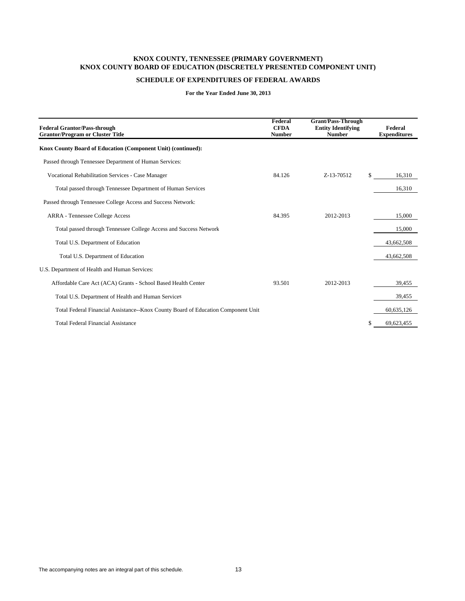#### **SCHEDULE OF EXPENDITURES OF FEDERAL AWARDS**

| <b>Federal Grantor/Pass-through</b><br><b>Grantor/Program or Cluster Title</b>    | Federal<br><b>CFDA</b><br><b>Number</b> | <b>Grant/Pass-Through</b><br><b>Entity Identifying</b><br><b>Number</b> | Federal<br><b>Expenditures</b> |
|-----------------------------------------------------------------------------------|-----------------------------------------|-------------------------------------------------------------------------|--------------------------------|
| Knox County Board of Education (Component Unit) (continued):                      |                                         |                                                                         |                                |
| Passed through Tennessee Department of Human Services:                            |                                         |                                                                         |                                |
| <b>Vocational Rehabilitation Services - Case Manager</b>                          | 84.126                                  | Z-13-70512                                                              | \$<br>16,310                   |
| Total passed through Tennessee Department of Human Services                       |                                         |                                                                         | 16,310                         |
| Passed through Tennessee College Access and Success Network:                      |                                         |                                                                         |                                |
| <b>ARRA</b> - Tennessee College Access                                            | 84.395                                  | 2012-2013                                                               | 15,000                         |
| Total passed through Tennessee College Access and Success Network                 |                                         |                                                                         | 15,000                         |
| Total U.S. Department of Education                                                |                                         |                                                                         | 43,662,508                     |
| Total U.S. Department of Education                                                |                                         |                                                                         | 43,662,508                     |
| U.S. Department of Health and Human Services:                                     |                                         |                                                                         |                                |
| Affordable Care Act (ACA) Grants - School Based Health Center                     | 93.501                                  | 2012-2013                                                               | 39,455                         |
| Total U.S. Department of Health and Human Services                                |                                         |                                                                         | 39,455                         |
| Total Federal Financial Assistance--Knox County Board of Education Component Unit |                                         |                                                                         | 60,635,126                     |
| <b>Total Federal Financial Assistance</b>                                         |                                         |                                                                         | 69,623,455                     |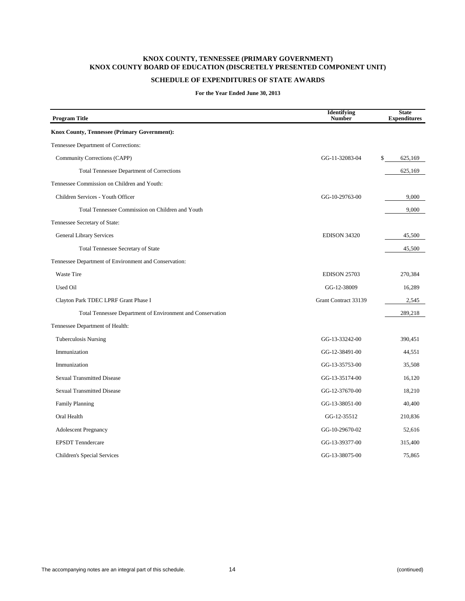#### **SCHEDULE OF EXPENDITURES OF STATE AWARDS**

| <b>Program Title</b>                                       | <b>Identifying</b><br><b>Number</b> | <b>State</b><br><b>Expenditures</b> |
|------------------------------------------------------------|-------------------------------------|-------------------------------------|
| Knox County, Tennessee (Primary Government):               |                                     |                                     |
| Tennessee Department of Corrections:                       |                                     |                                     |
| Community Corrections (CAPP)                               | GG-11-32083-04                      | \$<br>625,169                       |
| <b>Total Tennessee Department of Corrections</b>           |                                     | 625,169                             |
| Tennessee Commission on Children and Youth:                |                                     |                                     |
| Children Services - Youth Officer                          | GG-10-29763-00                      | 9.000                               |
| Total Tennessee Commission on Children and Youth           |                                     | 9,000                               |
| Tennessee Secretary of State:                              |                                     |                                     |
| General Library Services                                   | <b>EDISON 34320</b>                 | 45,500                              |
| <b>Total Tennessee Secretary of State</b>                  |                                     | 45,500                              |
| Tennessee Department of Environment and Conservation:      |                                     |                                     |
| <b>Waste Tire</b>                                          | <b>EDISON 25703</b>                 | 270,384                             |
| Used Oil                                                   | GG-12-38009                         | 16,289                              |
| Clayton Park TDEC LPRF Grant Phase I                       | Grant Contract 33139                | 2,545                               |
| Total Tennessee Department of Environment and Conservation |                                     | 289,218                             |
| Tennessee Department of Health:                            |                                     |                                     |
| <b>Tuberculosis Nursing</b>                                | GG-13-33242-00                      | 390,451                             |
| Immunization                                               | GG-12-38491-00                      | 44,551                              |
| Immunization                                               | GG-13-35753-00                      | 35,508                              |
| <b>Sexual Transmitted Disease</b>                          | GG-13-35174-00                      | 16,120                              |
| <b>Sexual Transmitted Disease</b>                          | GG-12-37670-00                      | 18,210                              |
| <b>Family Planning</b>                                     | GG-13-38051-00                      | 40,400                              |
| Oral Health                                                | GG-12-35512                         | 210,836                             |
| <b>Adolescent Pregnancy</b>                                | GG-10-29670-02                      | 52,616                              |
| <b>EPSDT</b> Tenndercare                                   | GG-13-39377-00                      | 315,400                             |
| Children's Special Services                                | GG-13-38075-00                      | 75.865                              |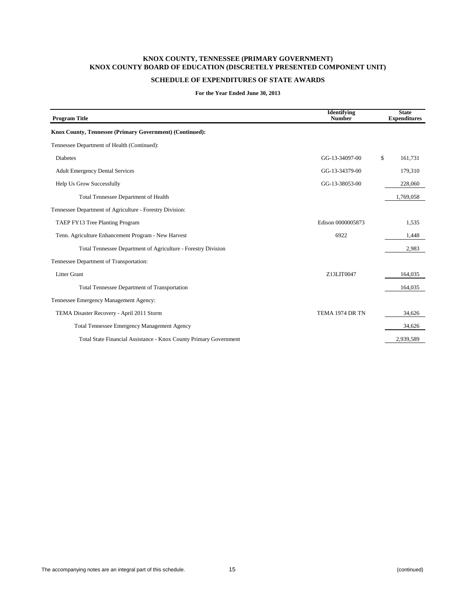#### **SCHEDULE OF EXPENDITURES OF STATE AWARDS**

| <b>Program Title</b>                                              | <b>Identifying</b><br><b>Number</b> | <b>State</b><br><b>Expenditures</b> |
|-------------------------------------------------------------------|-------------------------------------|-------------------------------------|
| Knox County, Tennessee (Primary Government) (Continued):          |                                     |                                     |
| Tennessee Department of Health (Continued):                       |                                     |                                     |
| <b>Diabetes</b>                                                   | GG-13-34097-00                      | \$<br>161,731                       |
| <b>Adult Emergency Dental Services</b>                            | GG-13-34379-00                      | 179,310                             |
| <b>Help Us Grow Successfully</b>                                  | GG-13-38053-00                      | 228,060                             |
| Total Tennessee Department of Health                              |                                     | 1,769,058                           |
| Tennessee Department of Agriculture - Forestry Division:          |                                     |                                     |
| TAEP FY13 Tree Planting Program                                   | Edison 0000005873                   | 1,535                               |
| Tenn. Agriculture Enhancement Program - New Harvest               | 6922                                | 1.448                               |
| Total Tennessee Department of Agriculture - Forestry Division     |                                     | 2,983                               |
| Tennessee Department of Transportation:                           |                                     |                                     |
| <b>Litter Grant</b>                                               | Z13LIT0047                          | 164,035                             |
| Total Tennessee Department of Transportation                      |                                     | 164,035                             |
| Tennessee Emergency Management Agency:                            |                                     |                                     |
| TEMA Disaster Recovery - April 2011 Storm                         | TEMA 1974 DR TN                     | 34,626                              |
| <b>Total Tennessee Emergency Management Agency</b>                |                                     | 34,626                              |
| Total State Financial Assistance - Knox County Primary Government |                                     | 2,939,589                           |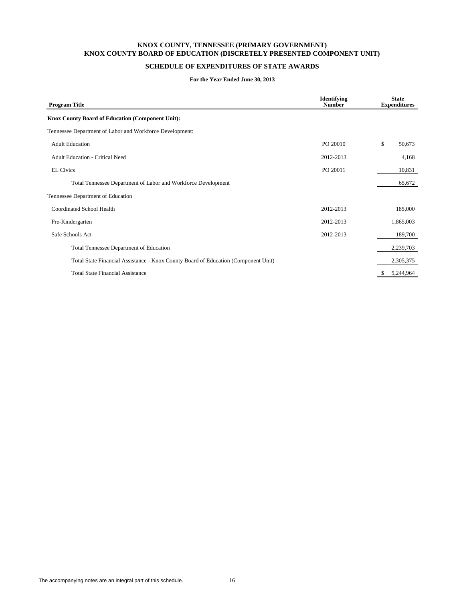# **SCHEDULE OF EXPENDITURES OF STATE AWARDS**

| <b>Program Title</b>                                                               | <b>Identifying</b><br><b>Number</b> | <b>State</b><br><b>Expenditures</b> |
|------------------------------------------------------------------------------------|-------------------------------------|-------------------------------------|
| <b>Knox County Board of Education (Component Unit):</b>                            |                                     |                                     |
| Tennessee Department of Labor and Workforce Development:                           |                                     |                                     |
| <b>Adult Education</b>                                                             | PO 20010                            | \$<br>50,673                        |
| <b>Adult Education - Critical Need</b>                                             | 2012-2013                           | 4,168                               |
| <b>EL Civics</b>                                                                   | PO 20011                            | 10,831                              |
| Total Tennessee Department of Labor and Workforce Development                      |                                     | 65,672                              |
| Tennessee Department of Education                                                  |                                     |                                     |
| Coordinated School Health                                                          | 2012-2013                           | 185,000                             |
| Pre-Kindergarten                                                                   | 2012-2013                           | 1,865,003                           |
| Safe Schools Act                                                                   | 2012-2013                           | 189,700                             |
| Total Tennessee Department of Education                                            |                                     | 2,239,703                           |
| Total State Financial Assistance - Knox County Board of Education (Component Unit) |                                     | 2,305,375                           |
| <b>Total State Financial Assistance</b>                                            |                                     | 5,244,964<br>S                      |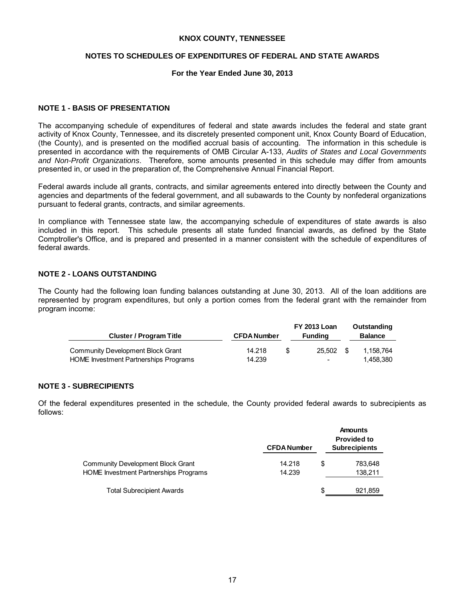# **NOTES TO SCHEDULES OF EXPENDITURES OF FEDERAL AND STATE AWARDS**

# **For the Year Ended June 30, 2013**

# **NOTE 1 - BASIS OF PRESENTATION**

The accompanying schedule of expenditures of federal and state awards includes the federal and state grant activity of Knox County, Tennessee, and its discretely presented component unit, Knox County Board of Education, (the County), and is presented on the modified accrual basis of accounting. The information in this schedule is presented in accordance with the requirements of OMB Circular A-133, *Audits of States and Local Governments and Non-Profit Organizations*. Therefore, some amounts presented in this schedule may differ from amounts presented in, or used in the preparation of, the Comprehensive Annual Financial Report.

Federal awards include all grants, contracts, and similar agreements entered into directly between the County and agencies and departments of the federal government, and all subawards to the County by nonfederal organizations pursuant to federal grants, contracts, and similar agreements.

In compliance with Tennessee state law, the accompanying schedule of expenditures of state awards is also included in this report. This schedule presents all state funded financial awards, as defined by the State Comptroller's Office, and is prepared and presented in a manner consistent with the schedule of expenditures of federal awards.

# **NOTE 2 - LOANS OUTSTANDING**

The County had the following loan funding balances outstanding at June 30, 2013. All of the loan additions are represented by program expenditures, but only a portion comes from the federal grant with the remainder from program income:

| <b>Cluster / Program Title</b>                                             | <b>CFDA Number</b> |   | <b>FY 2013 Loan</b><br><b>Funding</b> | Outstanding<br><b>Balance</b> |
|----------------------------------------------------------------------------|--------------------|---|---------------------------------------|-------------------------------|
| Community Development Block Grant<br>HOME Investment Partnerships Programs | 14.218<br>14.239   | S | 25.502 \$<br>$\overline{\phantom{0}}$ | 1.158.764<br>1.458.380        |

# **NOTE 3 - SUBRECIPIENTS**

Of the federal expenditures presented in the schedule, the County provided federal awards to subrecipients as follows:

|                                              | <b>CFDA Number</b> |   | Amounts<br><b>Provided to</b><br><b>Subrecipients</b> |
|----------------------------------------------|--------------------|---|-------------------------------------------------------|
| Community Development Block Grant            | 14.218             | S | 783.648                                               |
| <b>HOME Investment Partnerships Programs</b> | 14.239             |   | 138,211                                               |
| <b>Total Subrecipient Awards</b>             |                    |   | 921,859                                               |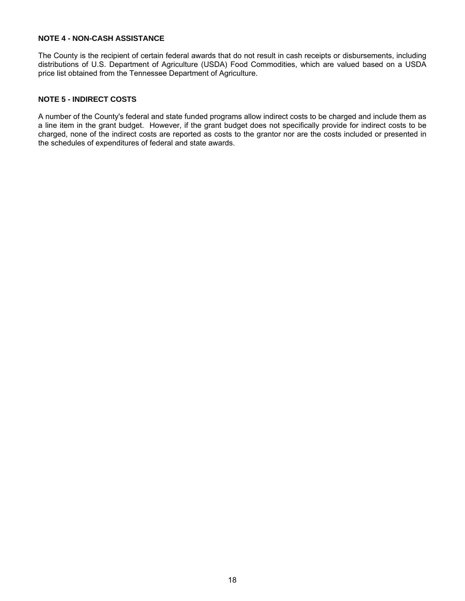# **NOTE 4 - NON-CASH ASSISTANCE**

The County is the recipient of certain federal awards that do not result in cash receipts or disbursements, including distributions of U.S. Department of Agriculture (USDA) Food Commodities, which are valued based on a USDA price list obtained from the Tennessee Department of Agriculture.

# **NOTE 5 - INDIRECT COSTS**

A number of the County's federal and state funded programs allow indirect costs to be charged and include them as a line item in the grant budget. However, if the grant budget does not specifically provide for indirect costs to be charged, none of the indirect costs are reported as costs to the grantor nor are the costs included or presented in the schedules of expenditures of federal and state awards.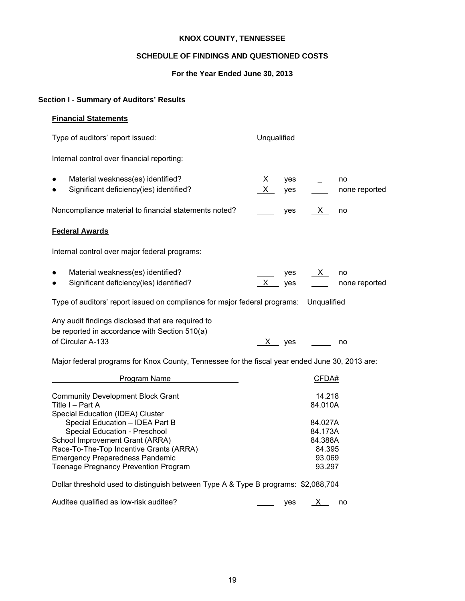# **SCHEDULE OF FINDINGS AND QUESTIONED COSTS**

# **For the Year Ended June 30, 2013**

# **Section I - Summary of Auditors' Results**

# **Financial Statements**

Type of auditors' report issued: Unqualified

Internal control over financial reporting:

| $\bullet$ | Material weakness(es) identified?                     | $\mathsf{X}$ | ves |    | no            |
|-----------|-------------------------------------------------------|--------------|-----|----|---------------|
|           | • Significant deficiency(ies) identified?             | X yes        |     |    | none reported |
|           | Noncompliance material to financial statements noted? |              | ves | X. | no            |

# **Federal Awards**

Internal control over major federal programs:

| Material weakness(es) identified?       | ves | $\mathsf{X}$ | no            |
|-----------------------------------------|-----|--------------|---------------|
| Significant deficiency(ies) identified? | ves |              | none reported |

Type of auditors' report issued on compliance for major federal programs: Unqualified

Any audit findings disclosed that are required to be reported in accordance with Section 510(a) of Circular A-133  $\overline{X}$  yes  $\overline{X}$  yes  $\overline{X}$  no

Major federal programs for Knox County, Tennessee for the fiscal year ended June 30, 2013 are:

| Program Name                                                                       | CFDA#   |
|------------------------------------------------------------------------------------|---------|
| <b>Community Development Block Grant</b>                                           | 14.218  |
| Title $I - Part A$                                                                 | 84.010A |
| Special Education (IDEA) Cluster                                                   |         |
| Special Education - IDEA Part B                                                    | 84.027A |
| Special Education - Preschool                                                      | 84.173A |
| School Improvement Grant (ARRA)                                                    | 84.388A |
| Race-To-The-Top Incentive Grants (ARRA)                                            | 84.395  |
| <b>Emergency Preparedness Pandemic</b>                                             | 93.069  |
| Teenage Pregnancy Prevention Program                                               | 93.297  |
| Dollar threshold used to distinguish between Type A & Type B programs: \$2,088,704 |         |
| Auditee qualified as low-risk auditee?<br>yes                                      | no      |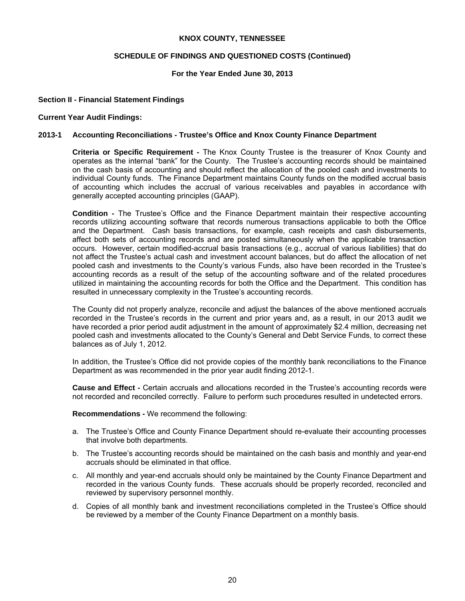# **SCHEDULE OF FINDINGS AND QUESTIONED COSTS (Continued)**

# **For the Year Ended June 30, 2013**

# **Section II - Financial Statement Findings**

## **Current Year Audit Findings:**

## **2013-1 Accounting Reconciliations - Trustee's Office and Knox County Finance Department**

**Criteria or Specific Requirement -** The Knox County Trustee is the treasurer of Knox County and operates as the internal "bank" for the County. The Trustee's accounting records should be maintained on the cash basis of accounting and should reflect the allocation of the pooled cash and investments to individual County funds. The Finance Department maintains County funds on the modified accrual basis of accounting which includes the accrual of various receivables and payables in accordance with generally accepted accounting principles (GAAP).

**Condition -** The Trustee's Office and the Finance Department maintain their respective accounting records utilizing accounting software that records numerous transactions applicable to both the Office and the Department. Cash basis transactions, for example, cash receipts and cash disbursements, affect both sets of accounting records and are posted simultaneously when the applicable transaction occurs. However, certain modified-accrual basis transactions (e.g., accrual of various liabilities) that do not affect the Trustee's actual cash and investment account balances, but do affect the allocation of net pooled cash and investments to the County's various Funds, also have been recorded in the Trustee's accounting records as a result of the setup of the accounting software and of the related procedures utilized in maintaining the accounting records for both the Office and the Department. This condition has resulted in unnecessary complexity in the Trustee's accounting records.

The County did not properly analyze, reconcile and adjust the balances of the above mentioned accruals recorded in the Trustee's records in the current and prior years and, as a result, in our 2013 audit we have recorded a prior period audit adjustment in the amount of approximately \$2.4 million, decreasing net pooled cash and investments allocated to the County's General and Debt Service Funds, to correct these balances as of July 1, 2012.

In addition, the Trustee's Office did not provide copies of the monthly bank reconciliations to the Finance Department as was recommended in the prior year audit finding 2012-1.

**Cause and Effect -** Certain accruals and allocations recorded in the Trustee's accounting records were not recorded and reconciled correctly. Failure to perform such procedures resulted in undetected errors.

**Recommendations -** We recommend the following:

- a. The Trustee's Office and County Finance Department should re-evaluate their accounting processes that involve both departments.
- b. The Trustee's accounting records should be maintained on the cash basis and monthly and year-end accruals should be eliminated in that office.
- c. All monthly and year-end accruals should only be maintained by the County Finance Department and recorded in the various County funds. These accruals should be properly recorded, reconciled and reviewed by supervisory personnel monthly.
- d. Copies of all monthly bank and investment reconciliations completed in the Trustee's Office should be reviewed by a member of the County Finance Department on a monthly basis.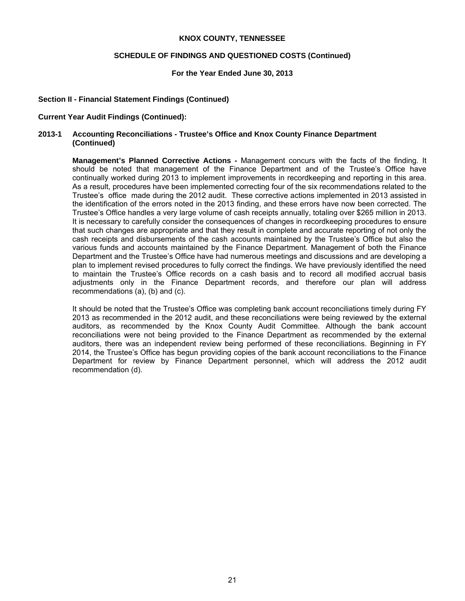# **SCHEDULE OF FINDINGS AND QUESTIONED COSTS (Continued)**

# **For the Year Ended June 30, 2013**

# **Section II - Financial Statement Findings (Continued)**

# **Current Year Audit Findings (Continued):**

#### **2013-1 Accounting Reconciliations - Trustee's Office and Knox County Finance Department (Continued)**

**Management's Planned Corrective Actions -** Management concurs with the facts of the finding. It should be noted that management of the Finance Department and of the Trustee's Office have continually worked during 2013 to implement improvements in recordkeeping and reporting in this area. As a result, procedures have been implemented correcting four of the six recommendations related to the Trustee's office made during the 2012 audit. These corrective actions implemented in 2013 assisted in the identification of the errors noted in the 2013 finding, and these errors have now been corrected. The Trustee's Office handles a very large volume of cash receipts annually, totaling over \$265 million in 2013. It is necessary to carefully consider the consequences of changes in recordkeeping procedures to ensure that such changes are appropriate and that they result in complete and accurate reporting of not only the cash receipts and disbursements of the cash accounts maintained by the Trustee's Office but also the various funds and accounts maintained by the Finance Department. Management of both the Finance Department and the Trustee's Office have had numerous meetings and discussions and are developing a plan to implement revised procedures to fully correct the findings. We have previously identified the need to maintain the Trustee's Office records on a cash basis and to record all modified accrual basis adjustments only in the Finance Department records, and therefore our plan will address recommendations (a), (b) and (c).

It should be noted that the Trustee's Office was completing bank account reconciliations timely during FY 2013 as recommended in the 2012 audit, and these reconciliations were being reviewed by the external auditors, as recommended by the Knox County Audit Committee. Although the bank account reconciliations were not being provided to the Finance Department as recommended by the external auditors, there was an independent review being performed of these reconciliations. Beginning in FY 2014, the Trustee's Office has begun providing copies of the bank account reconciliations to the Finance Department for review by Finance Department personnel, which will address the 2012 audit recommendation (d).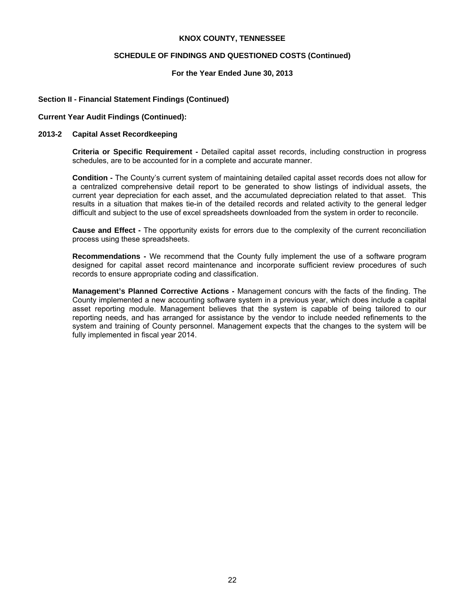# **SCHEDULE OF FINDINGS AND QUESTIONED COSTS (Continued)**

# **For the Year Ended June 30, 2013**

# **Section II - Financial Statement Findings (Continued)**

**Current Year Audit Findings (Continued):**

## **2013-2 Capital Asset Recordkeeping**

**Criteria or Specific Requirement -** Detailed capital asset records, including construction in progress schedules, are to be accounted for in a complete and accurate manner.

**Condition -** The County's current system of maintaining detailed capital asset records does not allow for a centralized comprehensive detail report to be generated to show listings of individual assets, the current year depreciation for each asset, and the accumulated depreciation related to that asset. This results in a situation that makes tie-in of the detailed records and related activity to the general ledger difficult and subject to the use of excel spreadsheets downloaded from the system in order to reconcile.

**Cause and Effect -** The opportunity exists for errors due to the complexity of the current reconciliation process using these spreadsheets.

**Recommendations -** We recommend that the County fully implement the use of a software program designed for capital asset record maintenance and incorporate sufficient review procedures of such records to ensure appropriate coding and classification.

**Management's Planned Corrective Actions -** Management concurs with the facts of the finding. The County implemented a new accounting software system in a previous year, which does include a capital asset reporting module. Management believes that the system is capable of being tailored to our reporting needs, and has arranged for assistance by the vendor to include needed refinements to the system and training of County personnel. Management expects that the changes to the system will be fully implemented in fiscal year 2014.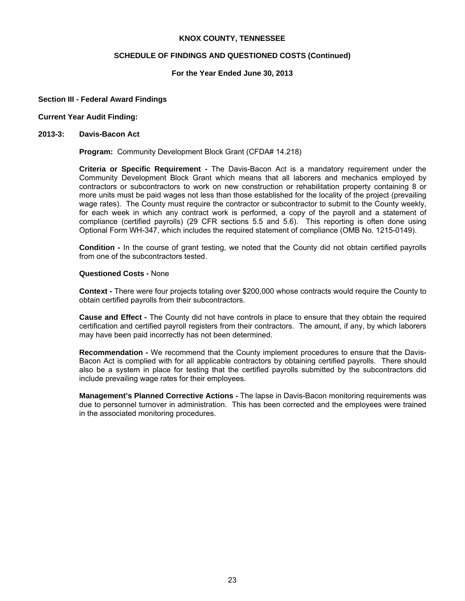# **SCHEDULE OF FINDINGS AND QUESTIONED COSTS (Continued)**

# **For the Year Ended June 30, 2013**

#### **Section III - Federal Award Findings**

#### **Current Year Audit Finding:**

#### **2013-3: Davis-Bacon Act**

 **Program:** Community Development Block Grant (CFDA# 14.218)

**Criteria or Specific Requirement -** The Davis-Bacon Act is a mandatory requirement under the Community Development Block Grant which means that all laborers and mechanics employed by contractors or subcontractors to work on new construction or rehabilitation property containing 8 or more units must be paid wages not less than those established for the locality of the project (prevailing wage rates). The County must require the contractor or subcontractor to submit to the County weekly, for each week in which any contract work is performed, a copy of the payroll and a statement of compliance (certified payrolls) (29 CFR sections 5.5 and 5.6). This reporting is often done using Optional Form WH-347, which includes the required statement of compliance (OMB No. 1215-0149).

**Condition -** In the course of grant testing, we noted that the County did not obtain certified payrolls from one of the subcontractors tested.

#### **Questioned Costs -** None

**Context -** There were four projects totaling over \$200,000 whose contracts would require the County to obtain certified payrolls from their subcontractors.

**Cause and Effect -** The County did not have controls in place to ensure that they obtain the required certification and certified payroll registers from their contractors. The amount, if any, by which laborers may have been paid incorrectly has not been determined.

**Recommendation -** We recommend that the County implement procedures to ensure that the Davis-Bacon Act is complied with for all applicable contractors by obtaining certified payrolls. There should also be a system in place for testing that the certified payrolls submitted by the subcontractors did include prevailing wage rates for their employees.

**Management's Planned Corrective Actions -** The lapse in Davis-Bacon monitoring requirements was due to personnel turnover in administration. This has been corrected and the employees were trained in the associated monitoring procedures.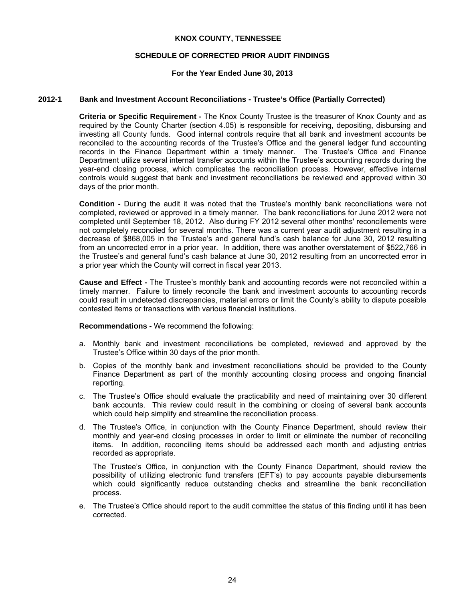# **SCHEDULE OF CORRECTED PRIOR AUDIT FINDINGS**

# **For the Year Ended June 30, 2013**

## **2012-1 Bank and Investment Account Reconciliations - Trustee's Office (Partially Corrected)**

**Criteria or Specific Requirement -** The Knox County Trustee is the treasurer of Knox County and as required by the County Charter (section 4.05) is responsible for receiving, depositing, disbursing and investing all County funds. Good internal controls require that all bank and investment accounts be reconciled to the accounting records of the Trustee's Office and the general ledger fund accounting records in the Finance Department within a timely manner. The Trustee's Office and Finance Department utilize several internal transfer accounts within the Trustee's accounting records during the year-end closing process, which complicates the reconciliation process. However, effective internal controls would suggest that bank and investment reconciliations be reviewed and approved within 30 days of the prior month.

**Condition -** During the audit it was noted that the Trustee's monthly bank reconciliations were not completed, reviewed or approved in a timely manner. The bank reconciliations for June 2012 were not completed until September 18, 2012. Also during FY 2012 several other months' reconcilements were not completely reconciled for several months. There was a current year audit adjustment resulting in a decrease of \$868,005 in the Trustee's and general fund's cash balance for June 30, 2012 resulting from an uncorrected error in a prior year. In addition, there was another overstatement of \$522,766 in the Trustee's and general fund's cash balance at June 30, 2012 resulting from an uncorrected error in a prior year which the County will correct in fiscal year 2013.

**Cause and Effect -** The Trustee's monthly bank and accounting records were not reconciled within a timely manner. Failure to timely reconcile the bank and investment accounts to accounting records could result in undetected discrepancies, material errors or limit the County's ability to dispute possible contested items or transactions with various financial institutions.

**Recommendations -** We recommend the following:

- a. Monthly bank and investment reconciliations be completed, reviewed and approved by the Trustee's Office within 30 days of the prior month.
- b. Copies of the monthly bank and investment reconciliations should be provided to the County Finance Department as part of the monthly accounting closing process and ongoing financial reporting.
- c. The Trustee's Office should evaluate the practicability and need of maintaining over 30 different bank accounts. This review could result in the combining or closing of several bank accounts which could help simplify and streamline the reconciliation process.
- d. The Trustee's Office, in conjunction with the County Finance Department, should review their monthly and year-end closing processes in order to limit or eliminate the number of reconciling items. In addition, reconciling items should be addressed each month and adjusting entries recorded as appropriate.

The Trustee's Office, in conjunction with the County Finance Department, should review the possibility of utilizing electronic fund transfers (EFT's) to pay accounts payable disbursements which could significantly reduce outstanding checks and streamline the bank reconciliation process.

e. The Trustee's Office should report to the audit committee the status of this finding until it has been corrected.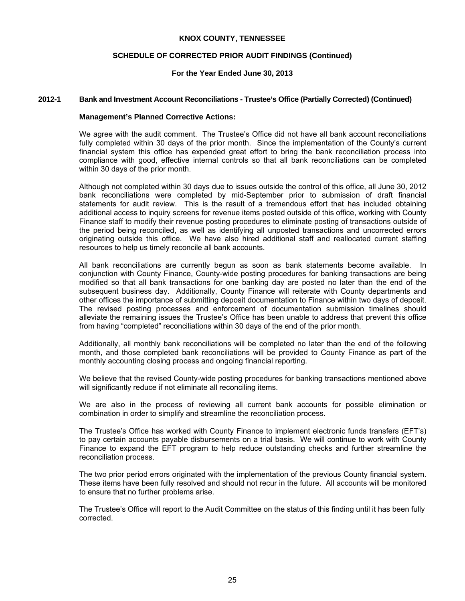# **SCHEDULE OF CORRECTED PRIOR AUDIT FINDINGS (Continued)**

# **For the Year Ended June 30, 2013**

# **2012-1 Bank and Investment Account Reconciliations - Trustee's Office (Partially Corrected) (Continued)**

## **Management's Planned Corrective Actions:**

We agree with the audit comment. The Trustee's Office did not have all bank account reconciliations fully completed within 30 days of the prior month. Since the implementation of the County's current financial system this office has expended great effort to bring the bank reconciliation process into compliance with good, effective internal controls so that all bank reconciliations can be completed within 30 days of the prior month.

Although not completed within 30 days due to issues outside the control of this office, all June 30, 2012 bank reconciliations were completed by mid-September prior to submission of draft financial statements for audit review. This is the result of a tremendous effort that has included obtaining additional access to inquiry screens for revenue items posted outside of this office, working with County Finance staff to modify their revenue posting procedures to eliminate posting of transactions outside of the period being reconciled, as well as identifying all unposted transactions and uncorrected errors originating outside this office. We have also hired additional staff and reallocated current staffing resources to help us timely reconcile all bank accounts.

All bank reconciliations are currently begun as soon as bank statements become available. In conjunction with County Finance, County-wide posting procedures for banking transactions are being modified so that all bank transactions for one banking day are posted no later than the end of the subsequent business day. Additionally, County Finance will reiterate with County departments and other offices the importance of submitting deposit documentation to Finance within two days of deposit. The revised posting processes and enforcement of documentation submission timelines should alleviate the remaining issues the Trustee's Office has been unable to address that prevent this office from having "completed" reconciliations within 30 days of the end of the prior month.

Additionally, all monthly bank reconciliations will be completed no later than the end of the following month, and those completed bank reconciliations will be provided to County Finance as part of the monthly accounting closing process and ongoing financial reporting.

We believe that the revised County-wide posting procedures for banking transactions mentioned above will significantly reduce if not eliminate all reconciling items.

We are also in the process of reviewing all current bank accounts for possible elimination or combination in order to simplify and streamline the reconciliation process.

The Trustee's Office has worked with County Finance to implement electronic funds transfers (EFT's) to pay certain accounts payable disbursements on a trial basis. We will continue to work with County Finance to expand the EFT program to help reduce outstanding checks and further streamline the reconciliation process.

The two prior period errors originated with the implementation of the previous County financial system. These items have been fully resolved and should not recur in the future. All accounts will be monitored to ensure that no further problems arise.

The Trustee's Office will report to the Audit Committee on the status of this finding until it has been fully corrected.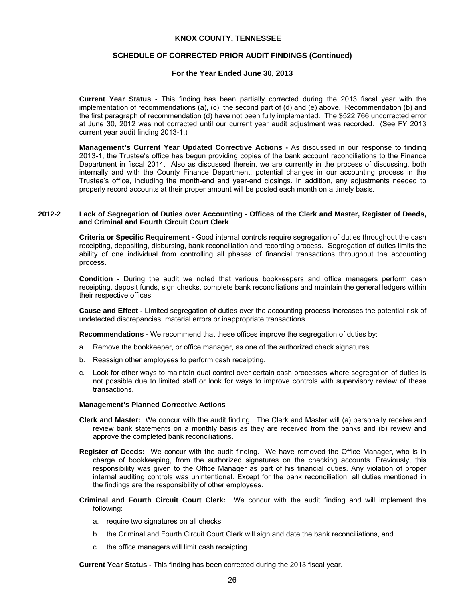# **SCHEDULE OF CORRECTED PRIOR AUDIT FINDINGS (Continued)**

#### **For the Year Ended June 30, 2013**

**Current Year Status -** This finding has been partially corrected during the 2013 fiscal year with the implementation of recommendations (a), (c), the second part of (d) and (e) above. Recommendation (b) and the first paragraph of recommendation (d) have not been fully implemented. The \$522,766 uncorrected error at June 30, 2012 was not corrected until our current year audit adjustment was recorded. (See FY 2013 current year audit finding 2013-1.)

**Management's Current Year Updated Corrective Actions -** As discussed in our response to finding 2013-1, the Trustee's office has begun providing copies of the bank account reconciliations to the Finance Department in fiscal 2014. Also as discussed therein, we are currently in the process of discussing, both internally and with the County Finance Department, potential changes in our accounting process in the Trustee's office, including the month-end and year-end closings. In addition, any adjustments needed to properly record accounts at their proper amount will be posted each month on a timely basis.

#### **2012-2 Lack of Segregation of Duties over Accounting - Offices of the Clerk and Master, Register of Deeds, and Criminal and Fourth Circuit Court Clerk**

**Criteria or Specific Requirement -** Good internal controls require segregation of duties throughout the cash receipting, depositing, disbursing, bank reconciliation and recording process. Segregation of duties limits the ability of one individual from controlling all phases of financial transactions throughout the accounting process.

**Condition -** During the audit we noted that various bookkeepers and office managers perform cash receipting, deposit funds, sign checks, complete bank reconciliations and maintain the general ledgers within their respective offices.

**Cause and Effect -** Limited segregation of duties over the accounting process increases the potential risk of undetected discrepancies, material errors or inappropriate transactions.

**Recommendations -** We recommend that these offices improve the segregation of duties by:

- a. Remove the bookkeeper, or office manager, as one of the authorized check signatures.
- b. Reassign other employees to perform cash receipting.
- c. Look for other ways to maintain dual control over certain cash processes where segregation of duties is not possible due to limited staff or look for ways to improve controls with supervisory review of these transactions.

#### **Management's Planned Corrective Actions**

- **Clerk and Master:** We concur with the audit finding. The Clerk and Master will (a) personally receive and review bank statements on a monthly basis as they are received from the banks and (b) review and approve the completed bank reconciliations.
- **Register of Deeds:** We concur with the audit finding. We have removed the Office Manager, who is in charge of bookkeeping, from the authorized signatures on the checking accounts. Previously, this responsibility was given to the Office Manager as part of his financial duties. Any violation of proper internal auditing controls was unintentional. Except for the bank reconciliation, all duties mentioned in the findings are the responsibility of other employees.
- **Criminal and Fourth Circuit Court Clerk:** We concur with the audit finding and will implement the following:
	- a. require two signatures on all checks,
	- b. the Criminal and Fourth Circuit Court Clerk will sign and date the bank reconciliations, and
	- c. the office managers will limit cash receipting

**Current Year Status -** This finding has been corrected during the 2013 fiscal year.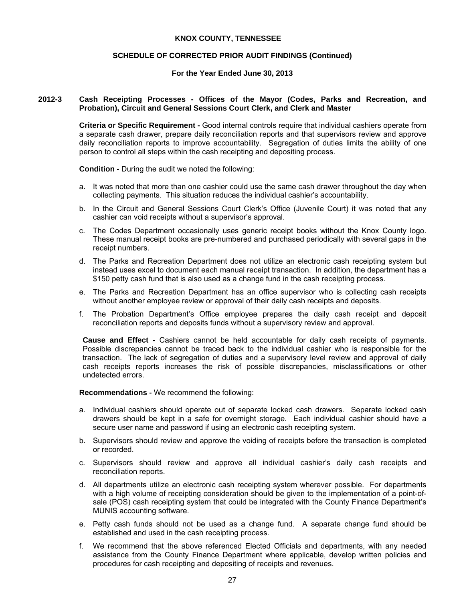#### **SCHEDULE OF CORRECTED PRIOR AUDIT FINDINGS (Continued)**

#### **For the Year Ended June 30, 2013**

#### **2012-3 Cash Receipting Processes - Offices of the Mayor (Codes, Parks and Recreation, and Probation), Circuit and General Sessions Court Clerk, and Clerk and Master**

 **Criteria or Specific Requirement -** Good internal controls require that individual cashiers operate from a separate cash drawer, prepare daily reconciliation reports and that supervisors review and approve daily reconciliation reports to improve accountability. Segregation of duties limits the ability of one person to control all steps within the cash receipting and depositing process.

**Condition -** During the audit we noted the following:

- a. It was noted that more than one cashier could use the same cash drawer throughout the day when collecting payments. This situation reduces the individual cashier's accountability.
- b. In the Circuit and General Sessions Court Clerk's Office (Juvenile Court) it was noted that any cashier can void receipts without a supervisor's approval.
- c. The Codes Department occasionally uses generic receipt books without the Knox County logo. These manual receipt books are pre-numbered and purchased periodically with several gaps in the receipt numbers.
- d. The Parks and Recreation Department does not utilize an electronic cash receipting system but instead uses excel to document each manual receipt transaction. In addition, the department has a \$150 petty cash fund that is also used as a change fund in the cash receipting process.
- e. The Parks and Recreation Department has an office supervisor who is collecting cash receipts without another employee review or approval of their daily cash receipts and deposits.
- f. The Probation Department's Office employee prepares the daily cash receipt and deposit reconciliation reports and deposits funds without a supervisory review and approval.

**Cause and Effect -** Cashiers cannot be held accountable for daily cash receipts of payments. Possible discrepancies cannot be traced back to the individual cashier who is responsible for the transaction. The lack of segregation of duties and a supervisory level review and approval of daily cash receipts reports increases the risk of possible discrepancies, misclassifications or other undetected errors.

**Recommendations -** We recommend the following:

- a. Individual cashiers should operate out of separate locked cash drawers. Separate locked cash drawers should be kept in a safe for overnight storage. Each individual cashier should have a secure user name and password if using an electronic cash receipting system.
- b. Supervisors should review and approve the voiding of receipts before the transaction is completed or recorded.
- c. Supervisors should review and approve all individual cashier's daily cash receipts and reconciliation reports.
- d. All departments utilize an electronic cash receipting system wherever possible. For departments with a high volume of receipting consideration should be given to the implementation of a point-ofsale (POS) cash receipting system that could be integrated with the County Finance Department's MUNIS accounting software.
- e. Petty cash funds should not be used as a change fund. A separate change fund should be established and used in the cash receipting process.
- f. We recommend that the above referenced Elected Officials and departments, with any needed assistance from the County Finance Department where applicable, develop written policies and procedures for cash receipting and depositing of receipts and revenues.